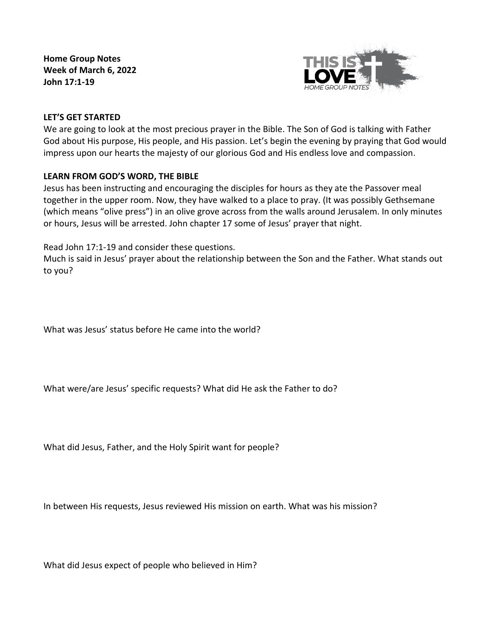**Home Group Notes Week of March 6, 2022 John 17:1-19**



## **LET'S GET STARTED**

We are going to look at the most precious prayer in the Bible. The Son of God is talking with Father God about His purpose, His people, and His passion. Let's begin the evening by praying that God would impress upon our hearts the majesty of our glorious God and His endless love and compassion.

# **LEARN FROM GOD'S WORD, THE BIBLE**

Jesus has been instructing and encouraging the disciples for hours as they ate the Passover meal together in the upper room. Now, they have walked to a place to pray. (It was possibly Gethsemane (which means "olive press") in an olive grove across from the walls around Jerusalem. In only minutes or hours, Jesus will be arrested. John chapter 17 some of Jesus' prayer that night.

Read John 17:1-19 and consider these questions.

Much is said in Jesus' prayer about the relationship between the Son and the Father. What stands out to you?

What was Jesus' status before He came into the world?

What were/are Jesus' specific requests? What did He ask the Father to do?

What did Jesus, Father, and the Holy Spirit want for people?

In between His requests, Jesus reviewed His mission on earth. What was his mission?

What did Jesus expect of people who believed in Him?